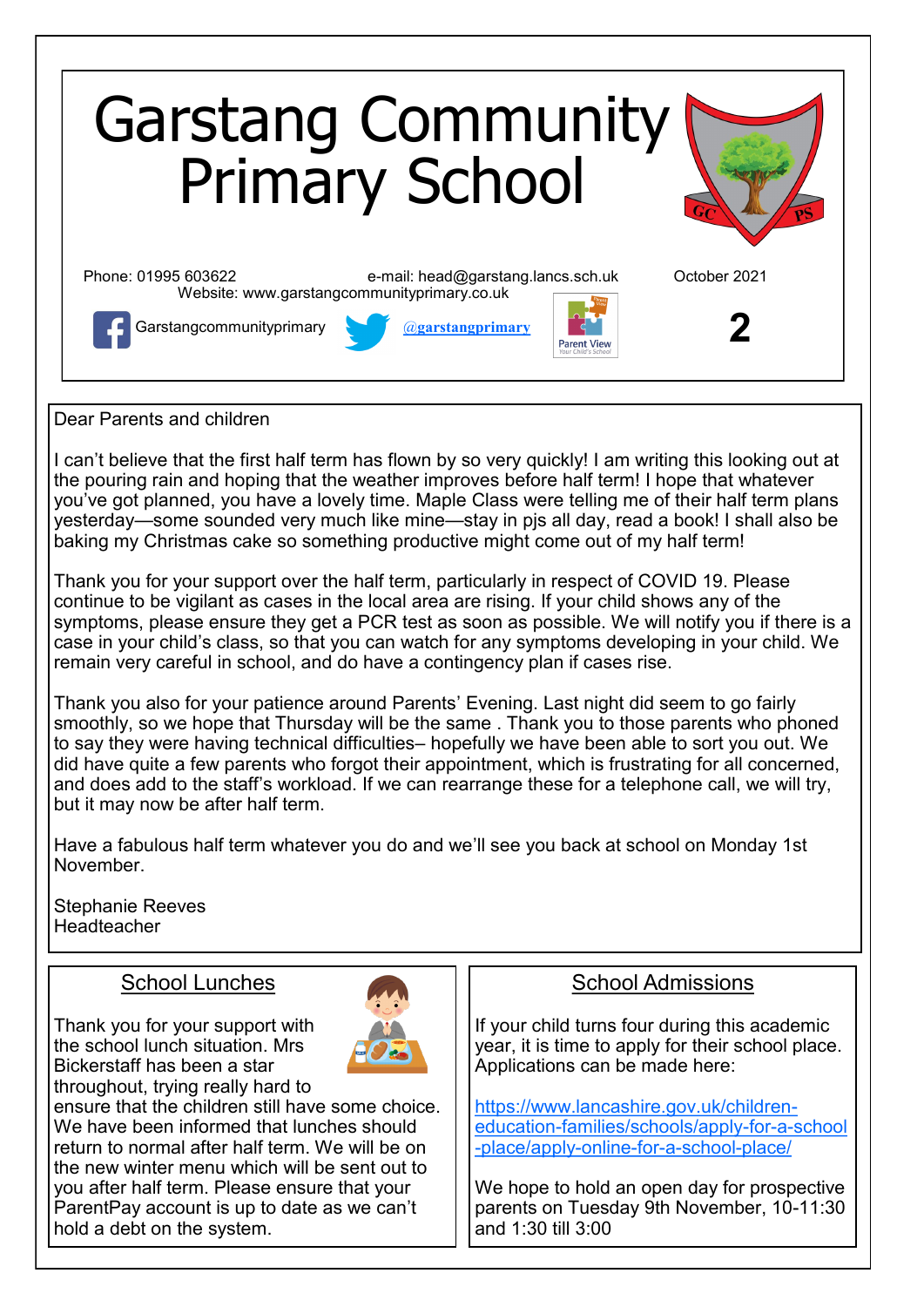

Dear Parents and children

I can't believe that the first half term has flown by so very quickly! I am writing this looking out at the pouring rain and hoping that the weather improves before half term! I hope that whatever you've got planned, you have a lovely time. Maple Class were telling me of their half term plans yesterday—some sounded very much like mine—stay in pjs all day, read a book! I shall also be baking my Christmas cake so something productive might come out of my half term!

Thank you for your support over the half term, particularly in respect of COVID 19. Please continue to be vigilant as cases in the local area are rising. If your child shows any of the symptoms, please ensure they get a PCR test as soon as possible. We will notify you if there is a case in your child's class, so that you can watch for any symptoms developing in your child. We remain very careful in school, and do have a contingency plan if cases rise.

Thank you also for your patience around Parents' Evening. Last night did seem to go fairly smoothly, so we hope that Thursday will be the same . Thank you to those parents who phoned to say they were having technical difficulties– hopefully we have been able to sort you out. We did have quite a few parents who forgot their appointment, which is frustrating for all concerned, and does add to the staff's workload. If we can rearrange these for a telephone call, we will try, but it may now be after half term.

Have a fabulous half term whatever you do and we'll see you back at school on Monday 1st November.

Stephanie Reeves **Headteacher** 

#### School Lunches

Thank you for your support with the school lunch situation. Mrs Bickerstaff has been a star throughout, trying really hard to



ensure that the children still have some choice. We have been informed that lunches should return to normal after half term. We will be on the new winter menu which will be sent out to you after half term. Please ensure that your ParentPay account is up to date as we can't hold a debt on the system.

### School Admissions

If your child turns four during this academic year, it is time to apply for their school place. Applications can be made here:

[https://www.lancashire.gov.uk/children](https://www.lancashire.gov.uk/children-education-families/schools/apply-for-a-school-place/apply-online-for-a-school-place/)education-[families/schools/apply](https://www.lancashire.gov.uk/children-education-families/schools/apply-for-a-school-place/apply-online-for-a-school-place/)-for-a-school -[place/apply](https://www.lancashire.gov.uk/children-education-families/schools/apply-for-a-school-place/apply-online-for-a-school-place/)-online-for-a-school-place/

We hope to hold an open day for prospective parents on Tuesday 9th November, 10-11:30 and 1:30 till 3:00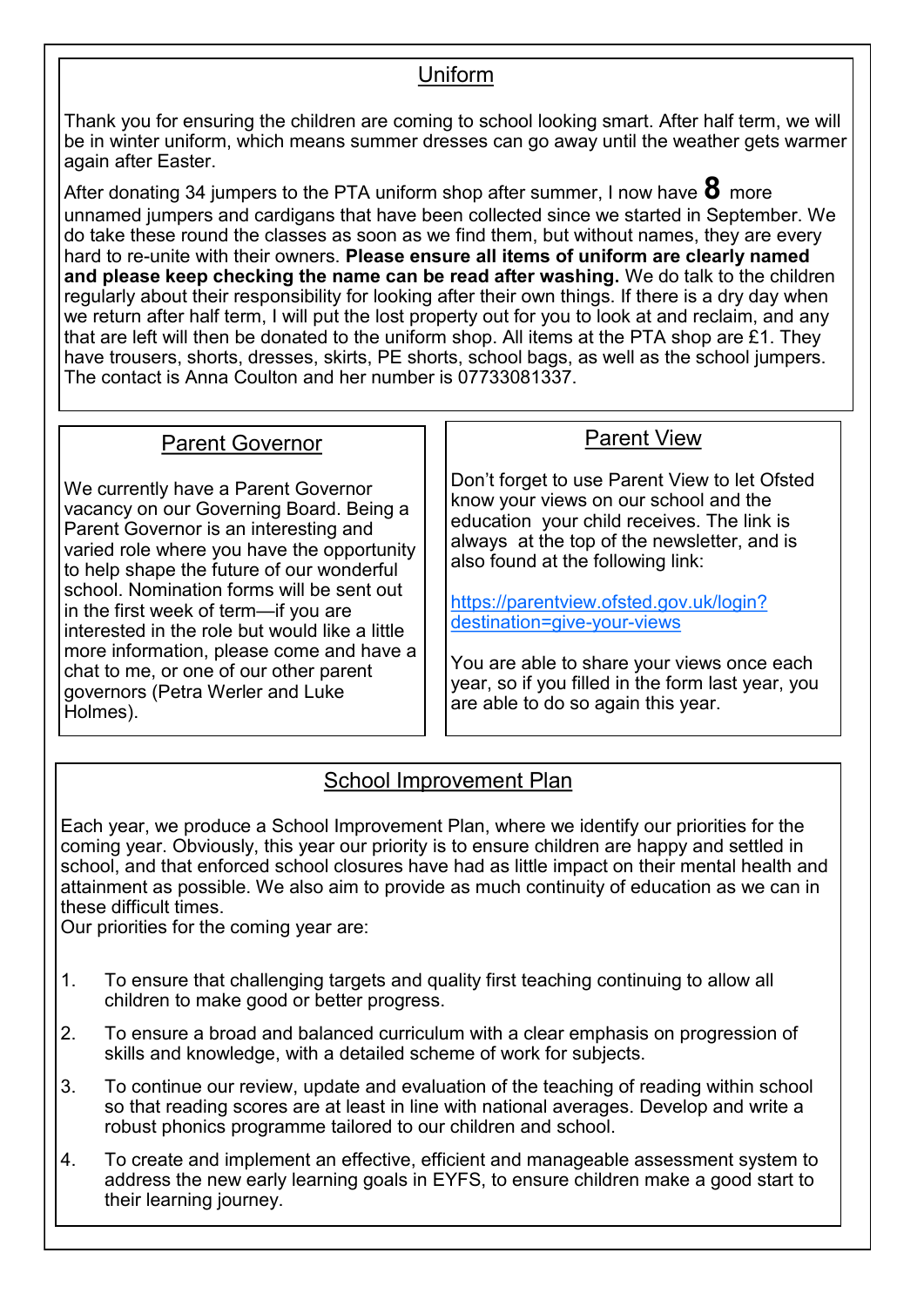### Uniform

Thank you for ensuring the children are coming to school looking smart. After half term, we will be in winter uniform, which means summer dresses can go away until the weather gets warmer again after Easter.

After donating 34 jumpers to the PTA uniform shop after summer, I now have **8** more unnamed jumpers and cardigans that have been collected since we started in September. We do take these round the classes as soon as we find them, but without names, they are every hard to re-unite with their owners. **Please ensure all items of uniform are clearly named and please keep checking the name can be read after washing.** We do talk to the children regularly about their responsibility for looking after their own things. If there is a dry day when we return after half term, I will put the lost property out for you to look at and reclaim, and any that are left will then be donated to the uniform shop. All items at the PTA shop are £1. They have trousers, shorts, dresses, skirts, PE shorts, school bags, as well as the school jumpers. The contact is Anna Coulton and her number is 07733081337.

### Parent Governor

We currently have a Parent Governor vacancy on our Governing Board. Being a Parent Governor is an interesting and varied role where you have the opportunity to help shape the future of our wonderful school. Nomination forms will be sent out in the first week of term—if you are interested in the role but would like a little more information, please come and have a chat to me, or one of our other parent governors (Petra Werler and Luke Holmes).

## Parent View

Don't forget to use Parent View to let Ofsted know your views on our school and the education your child receives. The link is always at the top of the newsletter, and is also found at the following link:

[https://parentview.ofsted.gov.uk/login?](https://parentview.ofsted.gov.uk/login?destination=give-your-views) [destination=give](https://parentview.ofsted.gov.uk/login?destination=give-your-views)-your-views

You are able to share your views once each year, so if you filled in the form last year, you are able to do so again this year.

# School Improvement Plan

Each year, we produce a School Improvement Plan, where we identify our priorities for the coming year. Obviously, this year our priority is to ensure children are happy and settled in school, and that enforced school closures have had as little impact on their mental health and attainment as possible. We also aim to provide as much continuity of education as we can in these difficult times.

Our priorities for the coming year are:

- 1. To ensure that challenging targets and quality first teaching continuing to allow all children to make good or better progress.
- 2. To ensure a broad and balanced curriculum with a clear emphasis on progression of skills and knowledge, with a detailed scheme of work for subjects.
- 3. To continue our review, update and evaluation of the teaching of reading within school so that reading scores are at least in line with national averages. Develop and write a robust phonics programme tailored to our children and school.
- 4. To create and implement an effective, efficient and manageable assessment system to address the new early learning goals in EYFS, to ensure children make a good start to their learning journey.